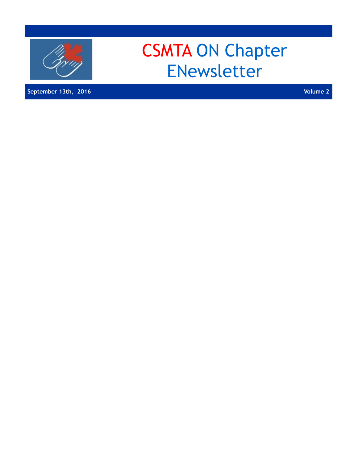

**September 13th, 2016 Volume 2** 

# CSMTA ON Chapter ENewsletter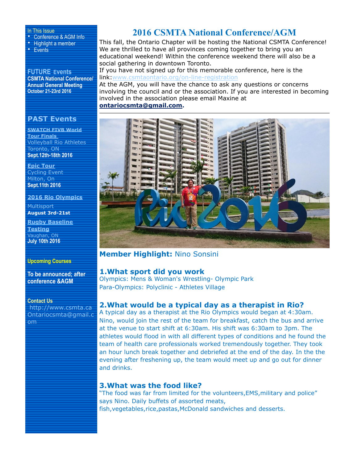#### In This Issue

• Conference & AGM Info

• Highlight a member • Events

**FUTURE Events CSMTA National Conference/ Annual General Meeting October 21-23rd 2016**

### **PAST Events**

**SWATCH FIVB World Tour Finals**  Volleyball Rio Athletes Toronto, ON **Sept.12th-18th 2016** 

**Epic Tour** Cycling Event Milton, On **Sept.11th 2016** 

**2016 Rio Olympics**

**Multisport August 3rd-21st**

**Rugby Baseline Testing** Vaughan, ON **July 10th 2016**

#### **Upcoming Courses**

**To be announced; after conference &AGM**

#### **Contact Us**

 <http://www.csmta.ca> [Ontariocsmta@gmail.c](http://www.adatum.com) om

# **2016 CSMTA National Conference/AGM**

This fall, the Ontario Chapter will be hosting the National CSMTA Conference! We are thrilled to have all provinces coming together to bring you an educational weekend! Within the conference weekend there will also be a social gathering in downtown Toronto.

If you have not signed up for this memorable conference, here is the link[:www.csmtaontario.org/on-line-registration](http://www.csmtaontario.org/on-line-registration)

At the AGM, you will have the chance to ask any questions or concerns involving the council and or the association. If you are interested in becoming involved in the association please email Maxine at **[ontariocsmta@gmail.com.](mailto:ontariocsmta@gmail.com)**



# **Member Highlight:** Nino Sonsini

#### **1.What sport did you work**

Olympics: Mens & Woman's Wrestling- Olympic Park Para-Olympics: Polyclinic - Athletes Village

# **2.What would be a typical day as a therapist in Rio?**

A typical day as a therapist at the Rio Olympics would began at 4:30am. Nino, would join the rest of the team for breakfast, catch the bus and arrive at the venue to start shift at 6:30am. His shift was 6:30am to 3pm. The athletes would flood in with all different types of conditions and he found the team of health care professionals worked tremendously together. They took an hour lunch break together and debriefed at the end of the day. In the the evening after freshening up, the team would meet up and go out for dinner and drinks.

#### **3.What was the food like?**

"The food was far from limited for the volunteers,EMS,military and police" says Nino. Daily buffets of assorted meats, fish,vegetables,rice,pastas,McDonald sandwiches and desserts.